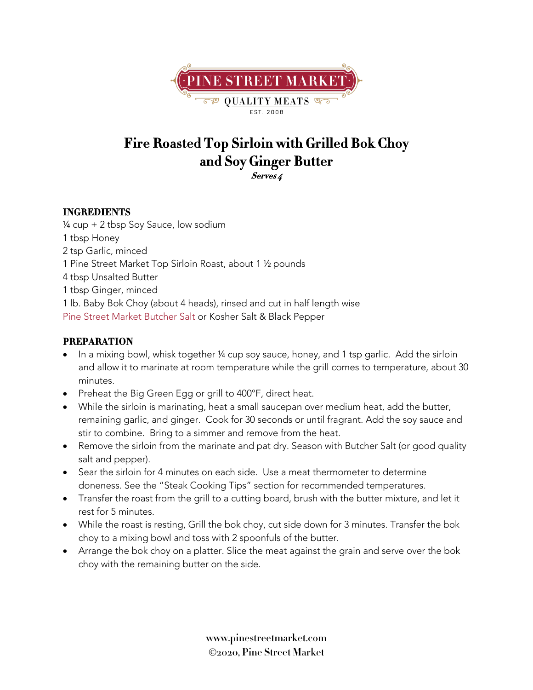

## **Fire Roasted Top Sirloin with Grilled Bok Choy and Soy Ginger Butter Serves 4**

## **INGREDIENTS**

¼ cup + 2 tbsp Soy Sauce, low sodium tbsp Honey tsp Garlic, minced Pine Street Market Top Sirloin Roast, about 1 ½ pounds tbsp Unsalted Butter tbsp Ginger, minced lb. Baby Bok Choy (about 4 heads), rinsed and cut in half length wise Pine Street Market Butcher Salt or Kosher Salt & Black Pepper

## **PREPARATION**

- In a mixing bowl, whisk together 1/4 cup soy sauce, honey, and 1 tsp garlic. Add the sirloin and allow it to marinate at room temperature while the grill comes to temperature, about 30 minutes.
- Preheat the Big Green Egg or grill to 400°F, direct heat.
- While the sirloin is marinating, heat a small saucepan over medium heat, add the butter, remaining garlic, and ginger. Cook for 30 seconds or until fragrant. Add the soy sauce and stir to combine. Bring to a simmer and remove from the heat.
- Remove the sirloin from the marinate and pat dry. Season with Butcher Salt (or good quality salt and pepper).
- Sear the sirloin for 4 minutes on each side. Use a meat thermometer to determine doneness. See the "Steak Cooking Tips" section for recommended temperatures.
- Transfer the roast from the grill to a cutting board, brush with the butter mixture, and let it rest for 5 minutes.
- While the roast is resting, Grill the bok choy, cut side down for 3 minutes. Transfer the bok choy to a mixing bowl and toss with 2 spoonfuls of the butter.
- Arrange the bok choy on a platter. Slice the meat against the grain and serve over the bok choy with the remaining butter on the side.

**www.pinestreetmarket.com** Ó**2020, Pine Street Market**